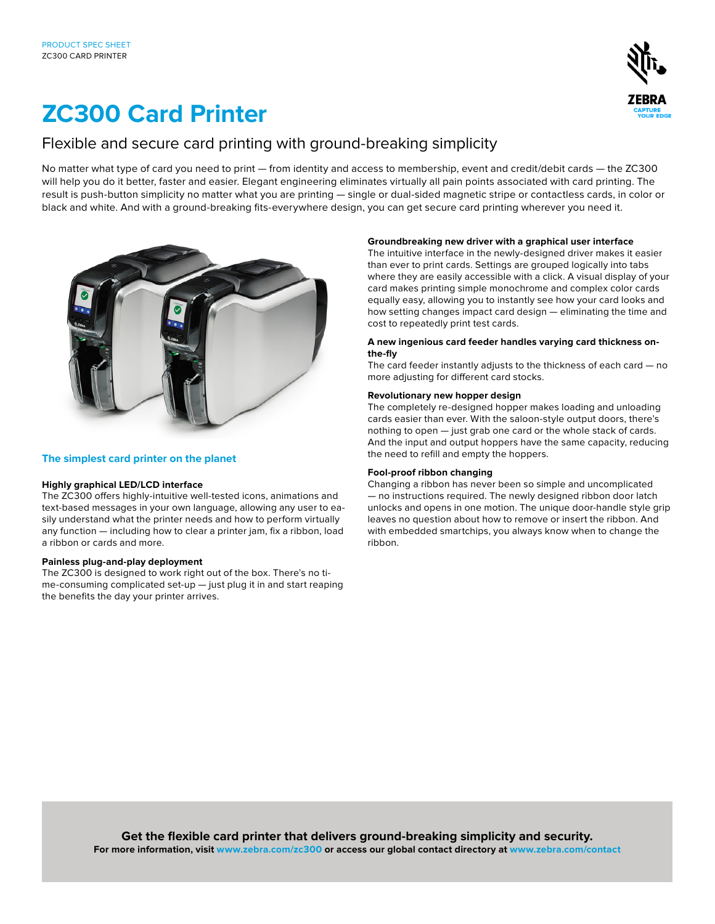

# **ZC300 Card Printer**

# Flexible and secure card printing with ground-breaking simplicity

No matter what type of card you need to print — from identity and access to membership, event and credit/debit cards — the ZC300 will help you do it better, faster and easier. Elegant engineering eliminates virtually all pain points associated with card printing. The result is push-button simplicity no matter what you are printing — single or dual-sided magnetic stripe or contactless cards, in color or black and white. And with a ground-breaking fits-everywhere design, you can get secure card printing wherever you need it.



# **The simplest card printer on the planet**

# **Highly graphical LED/LCD interface**

The ZC300 offers highly-intuitive well-tested icons, animations and text-based messages in your own language, allowing any user to easily understand what the printer needs and how to perform virtually any function — including how to clear a printer jam, fix a ribbon, load a ribbon or cards and more.

# **Painless plug-and-play deployment**

The ZC300 is designed to work right out of the box. There's no time-consuming complicated set-up — just plug it in and start reaping the benefits the day your printer arrives.

# **Groundbreaking new driver with a graphical user interface**

The intuitive interface in the newly-designed driver makes it easier than ever to print cards. Settings are grouped logically into tabs where they are easily accessible with a click. A visual display of your card makes printing simple monochrome and complex color cards equally easy, allowing you to instantly see how your card looks and how setting changes impact card design — eliminating the time and cost to repeatedly print test cards.

#### **A new ingenious card feeder handles varying card thickness onthe-fly**

The card feeder instantly adjusts to the thickness of each card — no more adjusting for different card stocks.

# **Revolutionary new hopper design**

The completely re-designed hopper makes loading and unloading cards easier than ever. With the saloon-style output doors, there's nothing to open — just grab one card or the whole stack of cards. And the input and output hoppers have the same capacity, reducing the need to refill and empty the hoppers.

# **Fool-proof ribbon changing**

Changing a ribbon has never been so simple and uncomplicated — no instructions required. The newly designed ribbon door latch unlocks and opens in one motion. The unique door-handle style grip leaves no question about how to remove or insert the ribbon. And with embedded smartchips, you always know when to change the ribbon.

**Get the flexible card printer that delivers ground-breaking simplicity and security. For more information, visit www.zebra.com/zc300 or access our global contact directory at www.zebra.com/contact**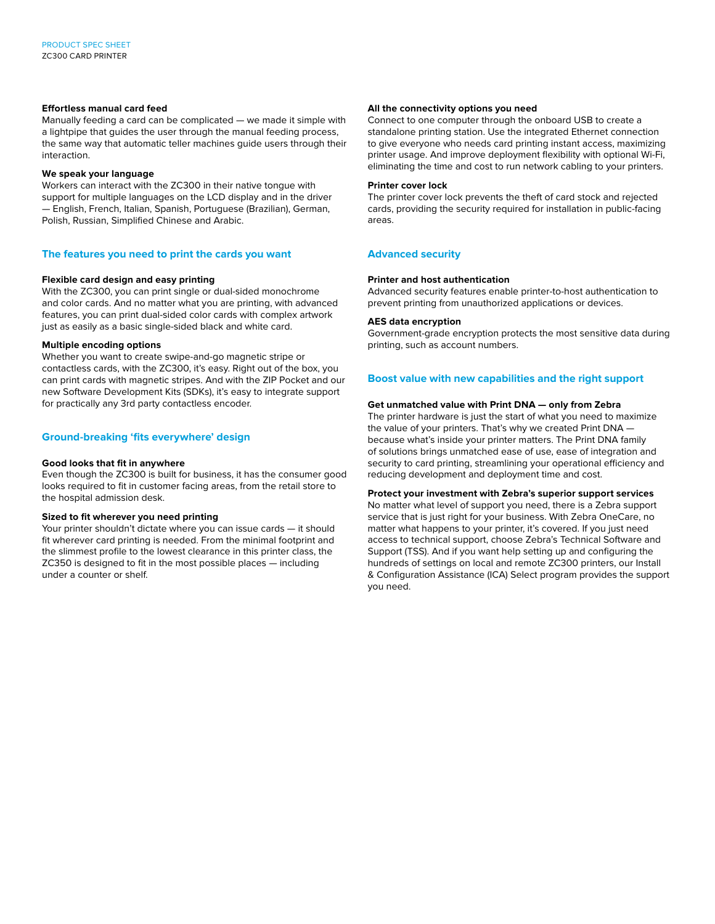### **Effortless manual card feed**

Manually feeding a card can be complicated — we made it simple with a lightpipe that guides the user through the manual feeding process, the same way that automatic teller machines guide users through their interaction.

### **We speak your language**

Workers can interact with the ZC300 in their native tongue with support for multiple languages on the LCD display and in the driver — English, French, Italian, Spanish, Portuguese (Brazilian), German, Polish, Russian, Simplified Chinese and Arabic.

# **The features you need to print the cards you want**

#### **Flexible card design and easy printing**

With the ZC300, you can print single or dual-sided monochrome and color cards. And no matter what you are printing, with advanced features, you can print dual-sided color cards with complex artwork just as easily as a basic single-sided black and white card.

#### **Multiple encoding options**

Whether you want to create swipe-and-go magnetic stripe or contactless cards, with the ZC300, it's easy. Right out of the box, you can print cards with magnetic stripes. And with the ZIP Pocket and our new Software Development Kits (SDKs), it's easy to integrate support for practically any 3rd party contactless encoder.

# **Ground-breaking 'fits everywhere' design**

#### **Good looks that fit in anywhere**

Even though the ZC300 is built for business, it has the consumer good looks required to fit in customer facing areas, from the retail store to the hospital admission desk.

#### **Sized to fit wherever you need printing**

Your printer shouldn't dictate where you can issue cards — it should fit wherever card printing is needed. From the minimal footprint and the slimmest profile to the lowest clearance in this printer class, the ZC350 is designed to fit in the most possible places — including under a counter or shelf.

#### **All the connectivity options you need**

Connect to one computer through the onboard USB to create a standalone printing station. Use the integrated Ethernet connection to give everyone who needs card printing instant access, maximizing printer usage. And improve deployment flexibility with optional Wi-Fi, eliminating the time and cost to run network cabling to your printers.

#### **Printer cover lock**

The printer cover lock prevents the theft of card stock and rejected cards, providing the security required for installation in public-facing areas.

# **Advanced security**

#### **Printer and host authentication**

Advanced security features enable printer-to-host authentication to prevent printing from unauthorized applications or devices.

#### **AES data encryption**

Government-grade encryption protects the most sensitive data during printing, such as account numbers.

# **Boost value with new capabilities and the right support**

#### **Get unmatched value with Print DNA — only from Zebra**

The printer hardware is just the start of what you need to maximize the value of your printers. That's why we created Print DNA because what's inside your printer matters. The Print DNA family of solutions brings unmatched ease of use, ease of integration and security to card printing, streamlining your operational efficiency and reducing development and deployment time and cost.

# **Protect your investment with Zebra's superior support services**

No matter what level of support you need, there is a Zebra support service that is just right for your business. With Zebra OneCare, no matter what happens to your printer, it's covered. If you just need access to technical support, choose Zebra's Technical Software and Support (TSS). And if you want help setting up and configuring the hundreds of settings on local and remote ZC300 printers, our Install & Configuration Assistance (ICA) Select program provides the support you need.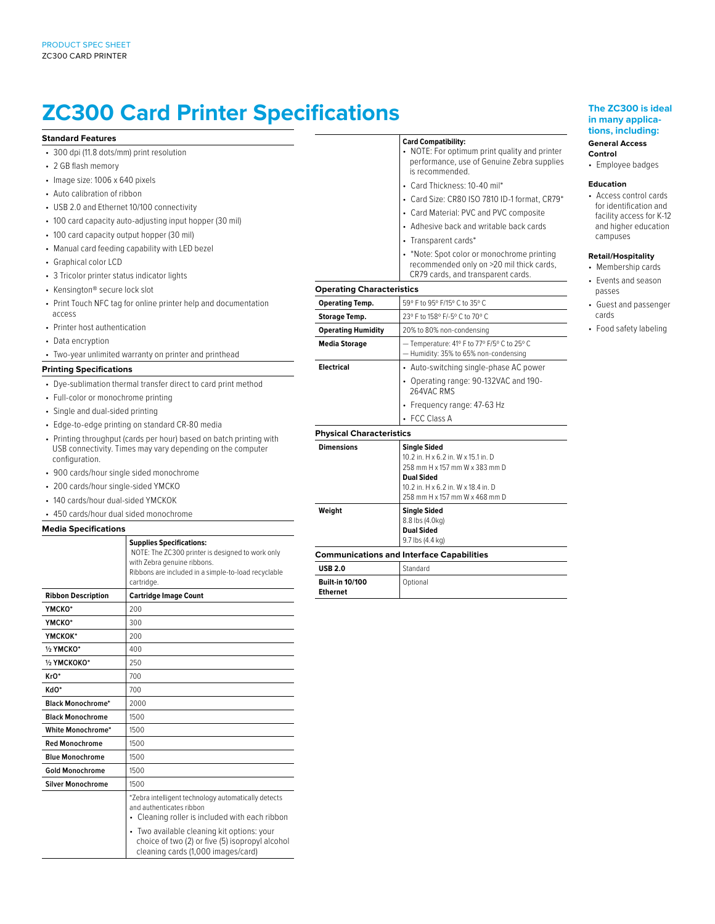# **ZC300 Card Printer Specifications**

#### **Standard Features**

- 300 dpi (11.8 dots/mm) print resolution
- 2 GB flash memory
- Image size: 1006 x 640 pixels
- Auto calibration of ribbon
- USB 2.0 and Ethernet 10/100 connectivity
- 100 card capacity auto-adjusting input hopper (30 mil)
- 100 card capacity output hopper (30 mil)
- Manual card feeding capability with LED bezel
- Graphical color LCD
- 3 Tricolor printer status indicator lights
- Kensington® secure lock slot
- Print Touch NFC tag for online printer help and documentation access
- Printer host authentication
- Data encryption
- Two-year unlimited warranty on printer and printhead

#### **Printing Specifications**

- Dye-sublimation thermal transfer direct to card print method
- Full-color or monochrome printing
- Single and dual-sided printing
- Edge-to-edge printing on standard CR-80 media
- Printing throughput (cards per hour) based on batch printing with USB connectivity. Times may vary depending on the computer configuration.
- 900 cards/hour single sided monochrome
- 200 cards/hour single-sided YMCKO
- 140 cards/hour dual-sided YMCKOK
- 450 cards/hour dual sided monochrome

#### **Media Specifications**

|                           | <b>Supplies Specifications:</b><br>NOTE: The ZC300 printer is designed to work only<br>with Zebra genuine ribbons.<br>Ribbons are included in a simple-to-load recyclable<br>cartridge. |
|---------------------------|-----------------------------------------------------------------------------------------------------------------------------------------------------------------------------------------|
| <b>Ribbon Description</b> | <b>Cartridge Image Count</b>                                                                                                                                                            |
| YMCKO*                    | 200                                                                                                                                                                                     |
| YMCKO*                    | 300                                                                                                                                                                                     |
| ҮМСКОК*                   | 200                                                                                                                                                                                     |
| 1/2 YMCKO*                | 400                                                                                                                                                                                     |
| 1/2 YMCKOKO*              | 250                                                                                                                                                                                     |
| KrO*                      | 700                                                                                                                                                                                     |
| KdO*                      | 700                                                                                                                                                                                     |
| <b>Black Monochrome*</b>  | 2000                                                                                                                                                                                    |
| <b>Black Monochrome</b>   | 1500                                                                                                                                                                                    |
| White Monochrome*         | 1500                                                                                                                                                                                    |
| <b>Red Monochrome</b>     | 1500                                                                                                                                                                                    |
| <b>Blue Monochrome</b>    | 1500                                                                                                                                                                                    |
| <b>Gold Monochrome</b>    | 1500                                                                                                                                                                                    |
| <b>Silver Monochrome</b>  | 1500                                                                                                                                                                                    |
|                           | *Zebra intelligent technology automatically detects<br>and authenticates ribbon<br>• Cleaning roller is included with each ribbon                                                       |
|                           | • Two available cleaning kit options: your<br>choice of two (2) or five (5) isopropyl alcohol<br>cleaning cards (1,000 images/card)                                                     |

#### **Card Compatibility:**

- NOTE: For optimum print quality and printer performance, use of Genuine Zebra supplies is recommended.
- Card Thickness: 10-40 mil\*
- Card Size: CR80 ISO 7810 ID-1 format, CR79\*
- Card Material: PVC and PVC composite
- Adhesive back and writable back cards
- Transparent cards\*
- \*Note: Spot color or monochrome printing recommended only on >20 mil thick cards, CR79 cards, and transparent cards.

# **Operating Characteristics**

 $\overline{a}$ 

| operating onaracteristics       |                                                                                              |
|---------------------------------|----------------------------------------------------------------------------------------------|
| <b>Operating Temp.</b>          | 59° F to 95° F/15° C to 35° C                                                                |
| <b>Storage Temp.</b>            | 23° F to 158° F/-5° C to 70° C                                                               |
| <b>Operating Humidity</b>       | 20% to 80% non-condensing                                                                    |
| <b>Media Storage</b>            | - Temperature: 41° F to 77° F/5° C to 25° C<br>- Humidity: 35% to 65% non-condensing         |
| <b>Electrical</b>               | • Auto-switching single-phase AC power                                                       |
|                                 | • Operating range: 90-132VAC and 190-<br>264VAC RMS                                          |
|                                 | • Frequency range: 47-63 Hz                                                                  |
|                                 | • FCC Class A                                                                                |
| <b>Physical Characteristics</b> |                                                                                              |
| <b>Dimensions</b>               | <b>Single Sided</b><br>10.2 in. H x 6.2 in. W x 15.1 in. D<br>258 mm H x 157 mm W x 383 mm D |

**Dual Sided** 10.2 in. H x 6.2 in. W x 18.4 in. D 258 mm H x 157 mm W x 468 mm D **Weight Single Sided** 8.8 lbs (4.0kg) **Dual Sided**

#### 9.7 lbs (4.4 kg) **Communications and Interface Capabilities**

| Communications and interiace Capabilities |          |  |
|-------------------------------------------|----------|--|
| <b>USB 2.0</b>                            | Standard |  |
| <b>Built-in 10/100</b><br><b>Ethernet</b> | Optional |  |

#### **The ZC300 is ideal in many applications, including:**

#### **General Access Control**

• Employee badges

#### **Education**

• Access control cards for identification and facility access for K-12 and higher education campuses

#### **Retail/Hospitality**

- Membership cards • Events and season passes
- Guest and passenger cards
- Food safety labeling